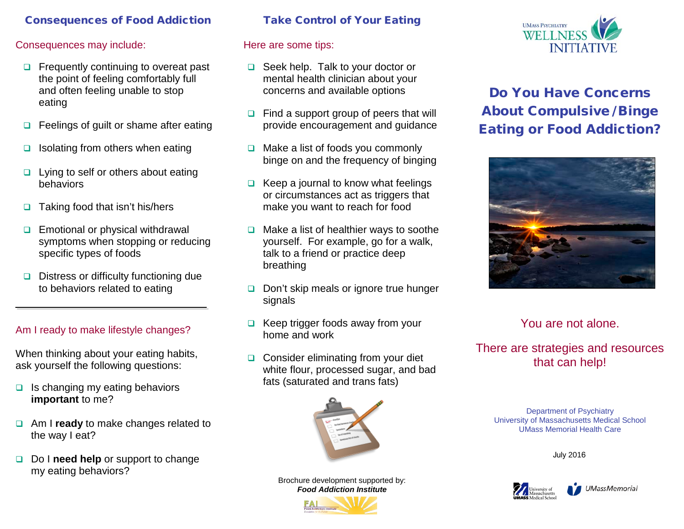## Consequences of Food Addiction

#### Consequences may include:

- $\Box$  Frequently continuing to overeat past the point of feeling comfortably full and often feeling unable to stop eating
- $\Box$  Feelings of guilt or shame after eating
- $\Box$  Isolating from others when eating
- $\Box$  Lying to self or others about eating behaviors
- $\Box$  Taking food that isn't his/hers
- $\Box$  Emotional or physical withdrawal symptoms when stopping or reducing specific types of foods
- $\Box$  Distress or difficulty functioning due to behaviors related to eating

## Am I ready to make lifestyle changes?

When thinking about your eating habits, ask yourself the following questions:

- $\Box$  Is changing my eating behaviors **important** to me?
- **a** Am I **ready** to make changes related to the way I eat?
- Do I **need help** or support to change my eating behaviors?

#### Take Control of Your Eating

## Here are some tips:

- □ Seek help. Talk to your doctor or mental health clinician about your concerns and available options
- $\Box$  Find a support group of peers that will provide encouragement and guidance
- $\Box$  Make a list of foods you commonly binge on and the frequency of binging
- $\Box$  Keep a journal to know what feelings or circumstances act as triggers that make you want to reach for food
- $\Box$  Make a list of healthier ways to soothe yourself. For example, go for a walk, talk to a friend or practice deep breathing
- Don't skip meals or ignore true hunger signals
- $\Box$  Keep trigger foods away from your home and work
- $\Box$  Consider eliminating from your diet white flour, processed sugar, and bad fats (saturated and trans fats)



Brochure development supported by: *Food Addiction Institute*





# Do You Have Concerns About Compulsive / Binge Eating or Food Addiction?



# You are not alone.

## There are strategies and resources that can help!

Department of Psychiatry University of Massachusetts Medical School UMass Memorial Health Care

July 2016